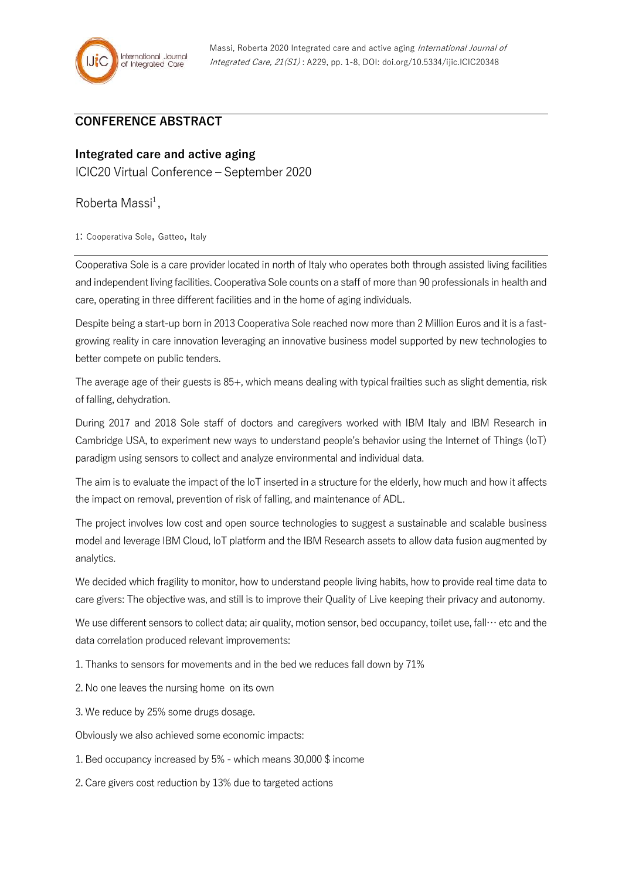## **CONFERENCE ABSTRACT**

## **Integrated care and active aging**

ICIC20 Virtual Conference – September 2020

Roberta Massi<sup>1</sup>,

1: Cooperativa Sole, Gatteo, Italy

Cooperativa Sole is a care provider located in north of Italy who operates both through assisted living facilities and independent living facilities. Cooperativa Sole counts on a staff of more than 90 professionals in health and care, operating in three different facilities and in the home of aging individuals.

Despite being a start-up born in 2013 Cooperativa Sole reached now more than 2 Million Euros and it is a fastgrowing reality in care innovation leveraging an innovative business model supported by new technologies to better compete on public tenders.

The average age of their guests is 85+, which means dealing with typical frailties such as slight dementia, risk of falling, dehydration.

During 2017 and 2018 Sole staff of doctors and caregivers worked with IBM Italy and IBM Research in Cambridge USA, to experiment new ways to understand people's behavior using the Internet of Things (IoT) paradigm using sensors to collect and analyze environmental and individual data.

The aim is to evaluate the impact of the IoT inserted in a structure for the elderly, how much and how it affects the impact on removal, prevention of risk of falling, and maintenance of ADL.

The project involves low cost and open source technologies to suggest a sustainable and scalable business model and leverage IBM Cloud, IoT platform and the IBM Research assets to allow data fusion augmented by analytics.

We decided which fragility to monitor, how to understand people living habits, how to provide real time data to care givers: The objective was, and still is to improve their Quality of Live keeping their privacy and autonomy.

We use different sensors to collect data; air quality, motion sensor, bed occupancy, toilet use, fall… etc and the data correlation produced relevant improvements:

1. Thanks to sensors for movements and in the bed we reduces fall down by 71%

2. No one leaves the nursing home on its own

3. We reduce by 25% some drugs dosage.

Obviously we also achieved some economic impacts:

1. Bed occupancy increased by 5% - which means 30,000 \$ income

2. Care givers cost reduction by 13% due to targeted actions